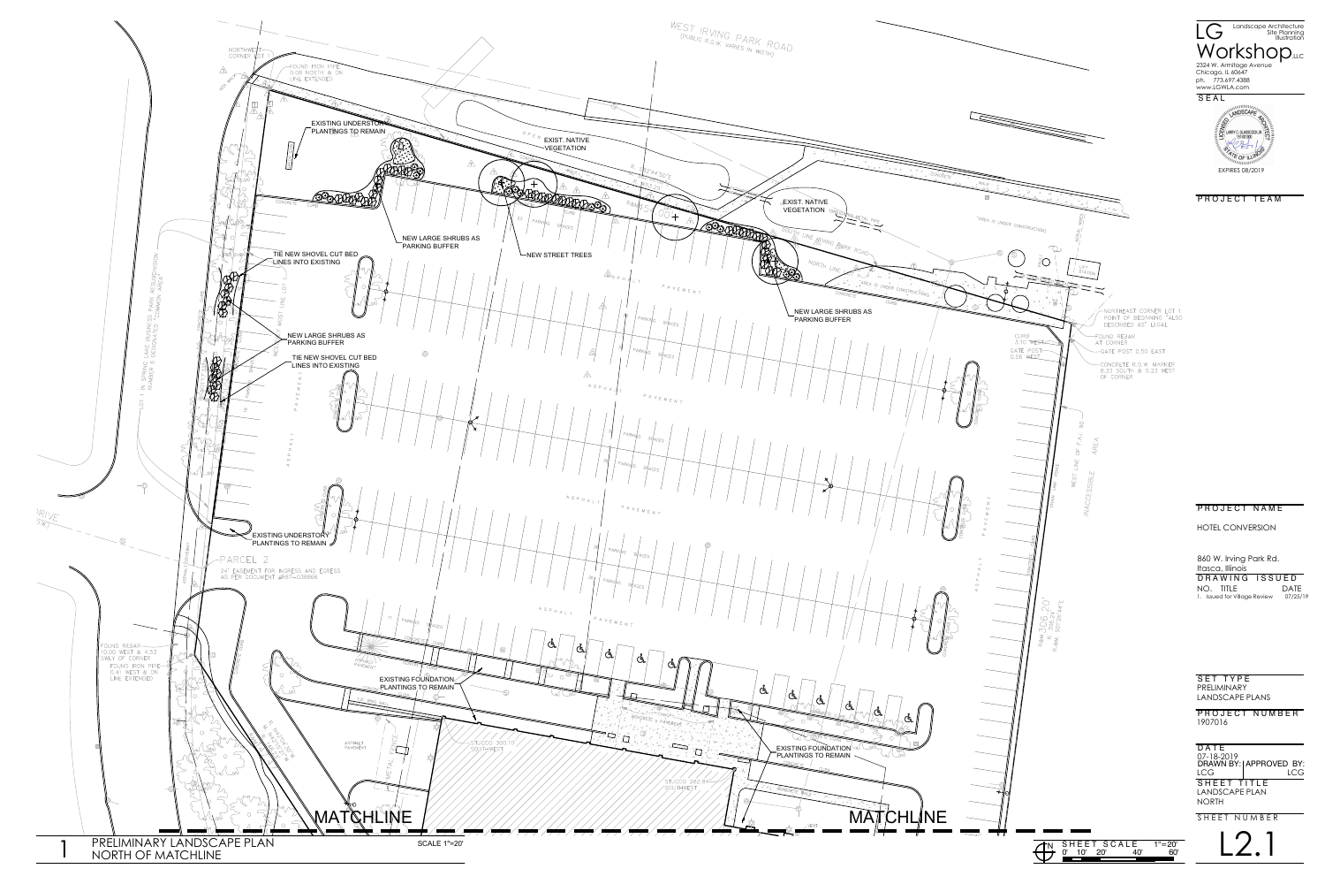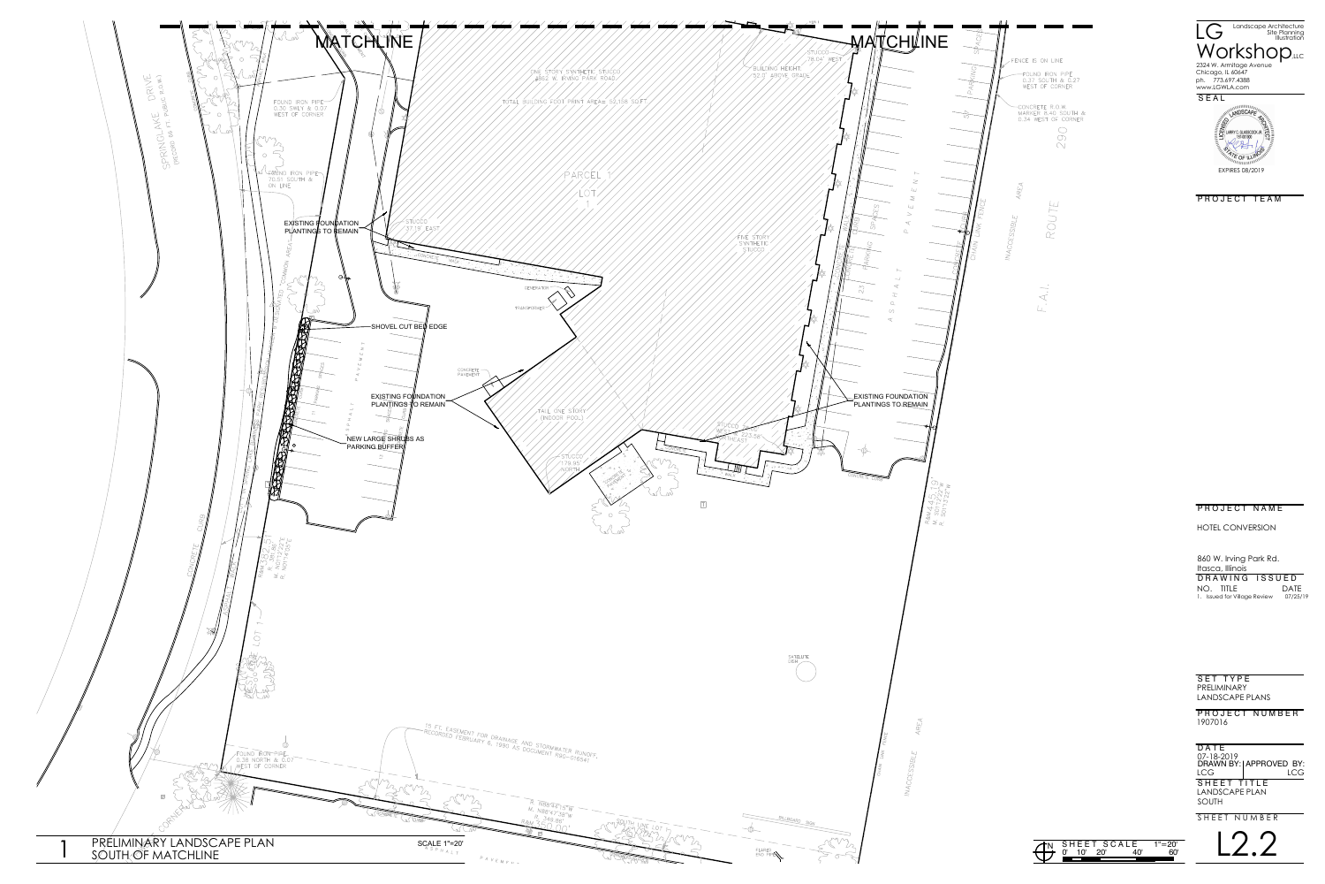

SET TYPE PRELIMINARY LANDSCAPE PLANS

L2.2

PROJECT NUMBER 1907016

LANDSCAPE PLAN SOUTH 07-18-2019 D A T E SHEET TITLE DRAWN BY: APPROVED BY: LCG LCG

SHEET NUMBER



PROJECT TEAM

## PROJECT NAME

860 W. Irving Park Rd. Itasca, Illinois D R A W I N G I S S U E D NO. TITLE DATE 1. Issued for Village Review 07/25/19

HOTEL CONVERSION

|    |             |     | TH SHEET SCALE | $1" = 20"$ |  |
|----|-------------|-----|----------------|------------|--|
| せけ | 1 $\Omega'$ | 20' |                |            |  |
|    |             |     |                |            |  |